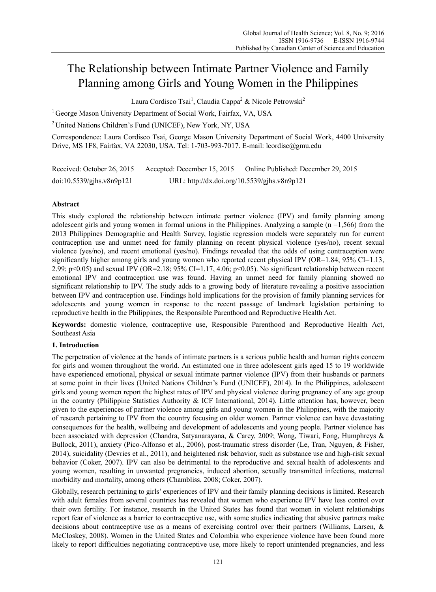# The Relationship between Intimate Partner Violence and Family Planning among Girls and Young Women in the Philippines

Laura Cordisco Tsai<sup>1</sup>, Claudia Cappa<sup>2</sup> & Nicole Petrowski<sup>2</sup>

<sup>1</sup> George Mason University Department of Social Work, Fairfax, VA, USA

2 United Nations Children's Fund (UNICEF), New York, NY, USA

Correspondence: Laura Cordisco Tsai, George Mason University Department of Social Work, 4400 University Drive, MS 1F8, Fairfax, VA 22030, USA. Tel: 1-703-993-7017. E-mail: lcordisc@gmu.edu

| Received: October 26, 2015 | Accepted: December 15, 2015                  | Online Published: December 29, 2015 |
|----------------------------|----------------------------------------------|-------------------------------------|
| doi:10.5539/gjhs.v8n9p121  | URL: http://dx.doi.org/10.5539/gjhs.v8n9p121 |                                     |

# **Abstract**

This study explored the relationship between intimate partner violence (IPV) and family planning among adolescent girls and young women in formal unions in the Philippines. Analyzing a sample  $(n = 1,566)$  from the 2013 Philippines Demographic and Health Survey, logistic regression models were separately run for current contraception use and unmet need for family planning on recent physical violence (yes/no), recent sexual violence (yes/no), and recent emotional (yes/no). Findings revealed that the odds of using contraception were significantly higher among girls and young women who reported recent physical IPV (OR=1.84; 95% CI=1.13, 2.99; p<0.05) and sexual IPV (OR=2.18; 95% CI=1.17, 4.06; p<0.05). No significant relationship between recent emotional IPV and contraception use was found. Having an unmet need for family planning showed no significant relationship to IPV. The study adds to a growing body of literature revealing a positive association between IPV and contraception use. Findings hold implications for the provision of family planning services for adolescents and young women in response to the recent passage of landmark legislation pertaining to reproductive health in the Philippines, the Responsible Parenthood and Reproductive Health Act.

**Keywords:** domestic violence, contraceptive use, Responsible Parenthood and Reproductive Health Act, Southeast Asia

# **1. Introduction**

The perpetration of violence at the hands of intimate partners is a serious public health and human rights concern for girls and women throughout the world. An estimated one in three adolescent girls aged 15 to 19 worldwide have experienced emotional, physical or sexual intimate partner violence (IPV) from their husbands or partners at some point in their lives (United Nations Children's Fund (UNICEF), 2014). In the Philippines, adolescent girls and young women report the highest rates of IPV and physical violence during pregnancy of any age group in the country (Philippine Statistics Authority & ICF International, 2014). Little attention has, however, been given to the experiences of partner violence among girls and young women in the Philippines, with the majority of research pertaining to IPV from the country focusing on older women. Partner violence can have devastating consequences for the health, wellbeing and development of adolescents and young people. Partner violence has been associated with depression (Chandra, Satyanarayana, & Carey, 2009; Wong, Tiwari, Fong, Humphreys & Bullock, 2011), anxiety (Pico-Alfonso et al., 2006), post-traumatic stress disorder (Le, Tran, Nguyen, & Fisher, 2014), suicidality (Devries et al., 2011), and heightened risk behavior, such as substance use and high-risk sexual behavior (Coker, 2007). IPV can also be detrimental to the reproductive and sexual health of adolescents and young women, resulting in unwanted pregnancies, induced abortion, sexually transmitted infections, maternal morbidity and mortality, among others (Chambliss, 2008; Coker, 2007).

Globally, research pertaining to girls' experiences of IPV and their family planning decisions is limited. Research with adult females from several countries has revealed that women who experience IPV have less control over their own fertility. For instance, research in the United States has found that women in violent relationships report fear of violence as a barrier to contraceptive use, with some studies indicating that abusive partners make decisions about contraceptive use as a means of exercising control over their partners (Williams, Larsen, & McCloskey, 2008). Women in the United States and Colombia who experience violence have been found more likely to report difficulties negotiating contraceptive use, more likely to report unintended pregnancies, and less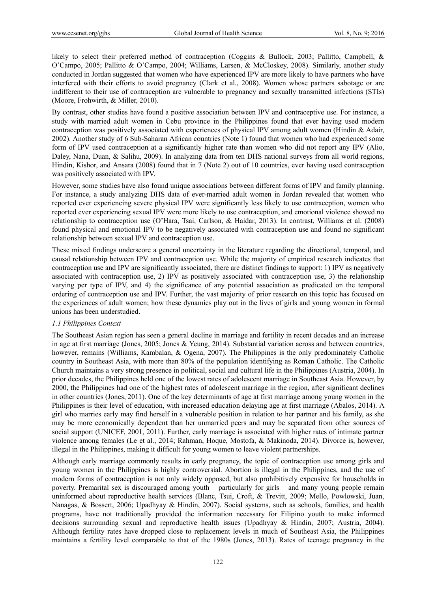likely to select their preferred method of contraception (Coggins & Bullock, 2003; Pallitto, Campbell, & O'Campo, 2005; Pallitto & O'Campo, 2004; Williams, Larsen, & McCloskey, 2008). Similarly, another study conducted in Jordan suggested that women who have experienced IPV are more likely to have partners who have interfered with their efforts to avoid pregnancy (Clark et al., 2008). Women whose partners sabotage or are indifferent to their use of contraception are vulnerable to pregnancy and sexually transmitted infections (STIs) (Moore, Frohwirth, & Miller, 2010).

By contrast, other studies have found a positive association between IPV and contraceptive use. For instance, a study with married adult women in Cebu province in the Philippines found that ever having used modern contraception was positively associated with experiences of physical IPV among adult women (Hindin & Adair, 2002). Another study of 6 Sub-Saharan African countries (Note 1) found that women who had experienced some form of IPV used contraception at a significantly higher rate than women who did not report any IPV (Alio, Daley, Nana, Duan, & Salihu, 2009). In analyzing data from ten DHS national surveys from all world regions, Hindin, Kishor, and Ansara (2008) found that in 7 (Note 2) out of 10 countries, ever having used contraception was positively associated with IPV.

However, some studies have also found unique associations between different forms of IPV and family planning. For instance, a study analyzing DHS data of ever-married adult women in Jordan revealed that women who reported ever experiencing severe physical IPV were significantly less likely to use contraception, women who reported ever experiencing sexual IPV were more likely to use contraception, and emotional violence showed no relationship to contraception use (O'Hara, Tsai, Carlson, & Haidar, 2013). In contrast, Williams et al. (2008) found physical and emotional IPV to be negatively associated with contraception use and found no significant relationship between sexual IPV and contraception use.

These mixed findings underscore a general uncertainty in the literature regarding the directional, temporal, and causal relationship between IPV and contraception use. While the majority of empirical research indicates that contraception use and IPV are significantly associated, there are distinct findings to support: 1) IPV as negatively associated with contraception use, 2) IPV as positively associated with contraception use, 3) the relationship varying per type of IPV, and 4) the significance of any potential association as predicated on the temporal ordering of contraception use and IPV. Further, the vast majority of prior research on this topic has focused on the experiences of adult women; how these dynamics play out in the lives of girls and young women in formal unions has been understudied.

# *1.1 Philippines Context*

The Southeast Asian region has seen a general decline in marriage and fertility in recent decades and an increase in age at first marriage (Jones, 2005; Jones & Yeung, 2014). Substantial variation across and between countries, however, remains (Williams, Kambalan, & Ogena, 2007). The Philippines is the only predominately Catholic country in Southeast Asia, with more than 80% of the population identifying as Roman Catholic. The Catholic Church maintains a very strong presence in political, social and cultural life in the Philippines (Austria, 2004). In prior decades, the Philippines held one of the lowest rates of adolescent marriage in Southeast Asia. However, by 2000, the Philippines had one of the highest rates of adolescent marriage in the region, after significant declines in other countries (Jones, 2011). One of the key determinants of age at first marriage among young women in the Philippines is their level of education, with increased education delaying age at first marriage (Abalos, 2014). A girl who marries early may find herself in a vulnerable position in relation to her partner and his family, as she may be more economically dependent than her unmarried peers and may be separated from other sources of social support (UNICEF, 2001, 2011). Further, early marriage is associated with higher rates of intimate partner violence among females (Le et al., 2014; Rahman, Hoque, Mostofa, & Makinoda, 2014). Divorce is, however, illegal in the Philippines, making it difficult for young women to leave violent partnerships.

Although early marriage commonly results in early pregnancy, the topic of contraception use among girls and young women in the Philippines is highly controversial. Abortion is illegal in the Philippines, and the use of modern forms of contraception is not only widely opposed, but also prohibitively expensive for households in poverty. Premarital sex is discouraged among youth – particularly for girls – and many young people remain uninformed about reproductive health services (Blanc, Tsui, Croft, & Trevitt, 2009; Mello, Powlowski, Juan, Nanagas, & Bossert, 2006; Upadhyay & Hindin, 2007). Social systems, such as schools, families, and health programs, have not traditionally provided the information necessary for Filipino youth to make informed decisions surrounding sexual and reproductive health issues (Upadhyay & Hindin, 2007; Austria, 2004). Although fertility rates have dropped close to replacement levels in much of Southeast Asia, the Philippines maintains a fertility level comparable to that of the 1980s (Jones, 2013). Rates of teenage pregnancy in the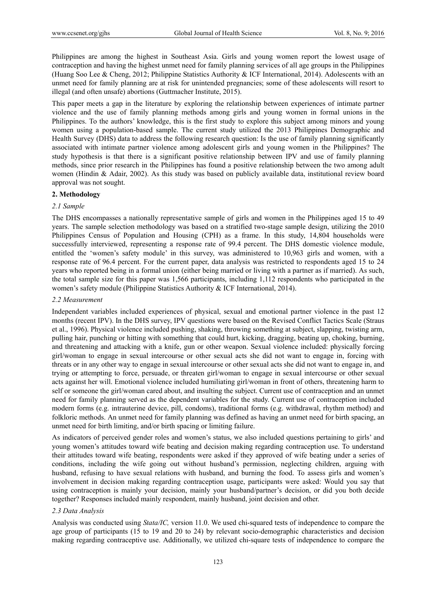Philippines are among the highest in Southeast Asia. Girls and young women report the lowest usage of contraception and having the highest unmet need for family planning services of all age groups in the Philippines (Huang Soo Lee & Cheng, 2012; Philippine Statistics Authority & ICF International, 2014). Adolescents with an unmet need for family planning are at risk for unintended pregnancies; some of these adolescents will resort to illegal (and often unsafe) abortions (Guttmacher Institute, 2015).

This paper meets a gap in the literature by exploring the relationship between experiences of intimate partner violence and the use of family planning methods among girls and young women in formal unions in the Philippines. To the authors' knowledge, this is the first study to explore this subject among minors and young women using a population-based sample. The current study utilized the 2013 Philippines Demographic and Health Survey (DHS) data to address the following research question: Is the use of family planning significantly associated with intimate partner violence among adolescent girls and young women in the Philippines? The study hypothesis is that there is a significant positive relationship between IPV and use of family planning methods, since prior research in the Philippines has found a positive relationship between the two among adult women (Hindin & Adair, 2002). As this study was based on publicly available data, institutional review board approval was not sought.

#### **2. Methodology**

# *2.1 Sample*

The DHS encompasses a nationally representative sample of girls and women in the Philippines aged 15 to 49 years. The sample selection methodology was based on a stratified two-stage sample design, utilizing the 2010 Philippines Census of Population and Housing (CPH) as a frame. In this study, 14,804 households were successfully interviewed, representing a response rate of 99.4 percent. The DHS domestic violence module, entitled the 'women's safety module' in this survey, was administered to 10,963 girls and women, with a response rate of 96.4 percent. For the current paper, data analysis was restricted to respondents aged 15 to 24 years who reported being in a formal union (either being married or living with a partner as if married). As such, the total sample size for this paper was 1,566 participants, including 1,112 respondents who participated in the women's safety module (Philippine Statistics Authority & ICF International, 2014).

#### *2.2 Measurement*

Independent variables included experiences of physical, sexual and emotional partner violence in the past 12 months (recent IPV). In the DHS survey, IPV questions were based on the Revised Conflict Tactics Scale (Straus et al., 1996). Physical violence included pushing, shaking, throwing something at subject, slapping, twisting arm, pulling hair, punching or hitting with something that could hurt, kicking, dragging, beating up, choking, burning, and threatening and attacking with a knife, gun or other weapon. Sexual violence included: physically forcing girl/woman to engage in sexual intercourse or other sexual acts she did not want to engage in, forcing with threats or in any other way to engage in sexual intercourse or other sexual acts she did not want to engage in, and trying or attempting to force, persuade, or threaten girl/woman to engage in sexual intercourse or other sexual acts against her will. Emotional violence included humiliating girl/woman in front of others, threatening harm to self or someone the girl/woman cared about, and insulting the subject. Current use of contraception and an unmet need for family planning served as the dependent variables for the study. Current use of contraception included modern forms (e.g. intrauterine device, pill, condoms), traditional forms (e.g. withdrawal, rhythm method) and folkloric methods. An unmet need for family planning was defined as having an unmet need for birth spacing, an unmet need for birth limiting, and/or birth spacing or limiting failure.

As indicators of perceived gender roles and women's status, we also included questions pertaining to girls' and young women's attitudes toward wife beating and decision making regarding contraception use. To understand their attitudes toward wife beating, respondents were asked if they approved of wife beating under a series of conditions, including the wife going out without husband's permission, neglecting children, arguing with husband, refusing to have sexual relations with husband, and burning the food. To assess girls and women's involvement in decision making regarding contraception usage, participants were asked: Would you say that using contraception is mainly your decision, mainly your husband/partner's decision, or did you both decide together? Responses included mainly respondent, mainly husband, joint decision and other.

#### *2.3 Data Analysis*

Analysis was conducted using *Stata/IC,* version 11.0. We used chi-squared tests of independence to compare the age group of participants (15 to 19 and 20 to 24) by relevant socio-demographic characteristics and decision making regarding contraceptive use. Additionally, we utilized chi-square tests of independence to compare the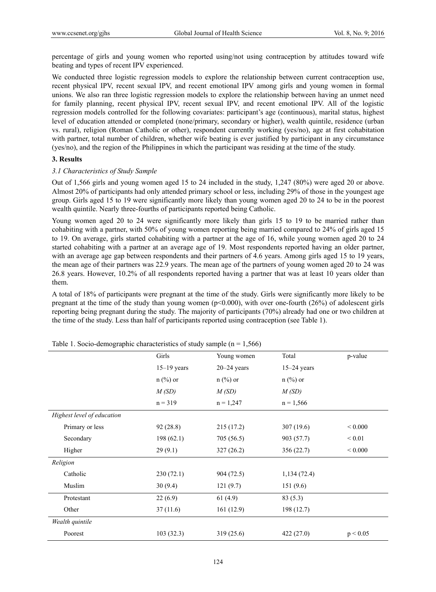percentage of girls and young women who reported using/not using contraception by attitudes toward wife beating and types of recent IPV experienced.

We conducted three logistic regression models to explore the relationship between current contraception use, recent physical IPV, recent sexual IPV, and recent emotional IPV among girls and young women in formal unions. We also ran three logistic regression models to explore the relationship between having an unmet need for family planning, recent physical IPV, recent sexual IPV, and recent emotional IPV. All of the logistic regression models controlled for the following covariates: participant's age (continuous), marital status, highest level of education attended or completed (none/primary, secondary or higher), wealth quintile, residence (urban vs. rural), religion (Roman Catholic or other), respondent currently working (yes/no), age at first cohabitation with partner, total number of children, whether wife beating is ever justified by participant in any circumstance (yes/no), and the region of the Philippines in which the participant was residing at the time of the study.

# **3. Results**

#### *3.1 Characteristics of Study Sample*

Out of 1,566 girls and young women aged 15 to 24 included in the study, 1,247 (80%) were aged 20 or above. Almost 20% of participants had only attended primary school or less, including 29% of those in the youngest age group. Girls aged 15 to 19 were significantly more likely than young women aged 20 to 24 to be in the poorest wealth quintile. Nearly three-fourths of participants reported being Catholic.

Young women aged 20 to 24 were significantly more likely than girls 15 to 19 to be married rather than cohabiting with a partner, with 50% of young women reporting being married compared to 24% of girls aged 15 to 19. On average, girls started cohabiting with a partner at the age of 16, while young women aged 20 to 24 started cohabiting with a partner at an average age of 19. Most respondents reported having an older partner, with an average age gap between respondents and their partners of 4.6 years. Among girls aged 15 to 19 years, the mean age of their partners was 22.9 years. The mean age of the partners of young women aged 20 to 24 was 26.8 years. However, 10.2% of all respondents reported having a partner that was at least 10 years older than them.

A total of 18% of participants were pregnant at the time of the study. Girls were significantly more likely to be pregnant at the time of the study than young women ( $p<0.000$ ), with over one-fourth (26%) of adolescent girls reporting being pregnant during the study. The majority of participants (70%) already had one or two children at the time of the study. Less than half of participants reported using contraception (see Table 1).

|                            | Girls         | Young women     | Total         | p-value      |
|----------------------------|---------------|-----------------|---------------|--------------|
|                            | $15-19$ years | $20 - 24$ years | $15-24$ years |              |
|                            | $n$ (%) or    | $n$ (%) or      | $n$ (%) or    |              |
|                            | M(SD)         | M(SD)           | M(SD)         |              |
|                            | $n = 319$     | $n = 1,247$     | $n = 1,566$   |              |
| Highest level of education |               |                 |               |              |
| Primary or less            | 92(28.8)      | 215(17.2)       | 307 (19.6)    | ${}_{0.000}$ |
| Secondary                  | 198(62.1)     | 705 (56.5)      | 903 (57.7)    | ${}_{0.01}$  |
| Higher                     | 29(9.1)       | 327(26.2)       | 356(22.7)     | < 0.000      |
| Religion                   |               |                 |               |              |
| Catholic                   | 230(72.1)     | 904 (72.5)      | 1,134(72.4)   |              |
| Muslim                     | 30(9.4)       | 121(9.7)        | 151(9.6)      |              |
| Protestant                 | 22(6.9)       | 61(4.9)         | 83(5.3)       |              |
| Other                      | 37(11.6)      | 161(12.9)       | 198 (12.7)    |              |
| Wealth quintile            |               |                 |               |              |
| Poorest                    | 103(32.3)     | 319 (25.6)      | 422 (27.0)    | p < 0.05     |

|  | Table 1. Socio-demographic characteristics of study sample $(n = 1,566)$ |  |  |  |  |
|--|--------------------------------------------------------------------------|--|--|--|--|
|  |                                                                          |  |  |  |  |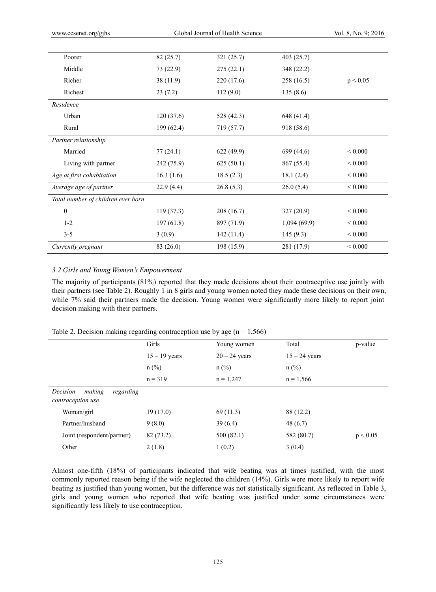| Poorer                             | 82(25.7)   | 321(25.7)  | 403 (25.7)  |              |
|------------------------------------|------------|------------|-------------|--------------|
| Middle                             | 73(22.9)   | 275(22.1)  | 348 (22.2)  |              |
| Richer                             | 38(11.9)   | 220(17.6)  | 258(16.5)   | p < 0.05     |
| Richest                            | 23(7.2)    | 112(9.0)   | 135(8.6)    |              |
| Residence                          |            |            |             |              |
| Urban                              | 120(37.6)  | 528 (42.3) | 648 (41.4)  |              |
| Rural                              | 199 (62.4) | 719 (57.7) | 918 (58.6)  |              |
| Partner relationship               |            |            |             |              |
| Married                            | 77(24.1)   | 622(49.9)  | 699(44.6)   | ${}_{0.000}$ |
| Living with partner                | 242 (75.9) | 625(50.1)  | 867 (55.4)  | ${}_{0.000}$ |
| Age at first cohabitation          | 16.3(1.6)  | 18.5(2.3)  | 18.1(2.4)   | ${}_{0.000}$ |
| Average age of partner             | 22.9(4.4)  | 26.8(5.3)  | 26.0(5.4)   | ${}_{0.000}$ |
| Total number of children ever born |            |            |             |              |
| $\boldsymbol{0}$                   | 119(37.3)  | 208(16.7)  | 327(20.9)   | ${}_{0.000}$ |
| $1 - 2$                            | 197(61.8)  | 897 (71.9) | 1,094(69.9) | ${}_{0.000}$ |
| $3 - 5$                            | 3(0.9)     | 142(11.4)  | 145(9.3)    | ${}_{0.000}$ |
| Currently pregnant                 | 83 (26.0)  | 198 (15.9) | 281 (17.9)  | ${}_{0.000}$ |

#### *3.2 Girls and Young Women's Empowerment*

The majority of participants (81%) reported that they made decisions about their contraceptive use jointly with their partners (see Table 2). Roughly 1 in 8 girls and young women noted they made these decisions on their own, while 7% said their partners made the decision. Young women were significantly more likely to report joint decision making with their partners.

| Table 2. Decision making regarding contraception use by age $(n = 1,566)$ |  |  |  |
|---------------------------------------------------------------------------|--|--|--|
|                                                                           |  |  |  |

|                                                      | Girls           | Young women     | Total           | p-value  |  |
|------------------------------------------------------|-----------------|-----------------|-----------------|----------|--|
|                                                      | $15 - 19$ years | $20 - 24$ years | $15 - 24$ years |          |  |
|                                                      | $n$ (%)         | $n$ (%)         | $n$ (%)         |          |  |
|                                                      | $n = 319$       | $n = 1,247$     | $n = 1,566$     |          |  |
| Decision<br>making<br>regarding<br>contraception use |                 |                 |                 |          |  |
| Woman/girl                                           | 19(17.0)        | 69(11.3)        | 88 (12.2)       |          |  |
| Partner/husband                                      | 9(8.0)          | 39(6.4)         | 48 (6.7)        |          |  |
| Joint (respondent/partner)                           | 82 (73.2)       | 500(82.1)       | 582 (80.7)      | p < 0.05 |  |
| Other                                                | 2(1.8)          | 1(0.2)          | 3(0.4)          |          |  |

Almost one-fifth (18%) of participants indicated that wife beating was at times justified, with the most commonly reported reason being if the wife neglected the children (14%). Girls were more likely to report wife beating as justified than young women, but the difference was not statistically significant. As reflected in Table 3, girls and young women who reported that wife beating was justified under some circumstances were significantly less likely to use contraception.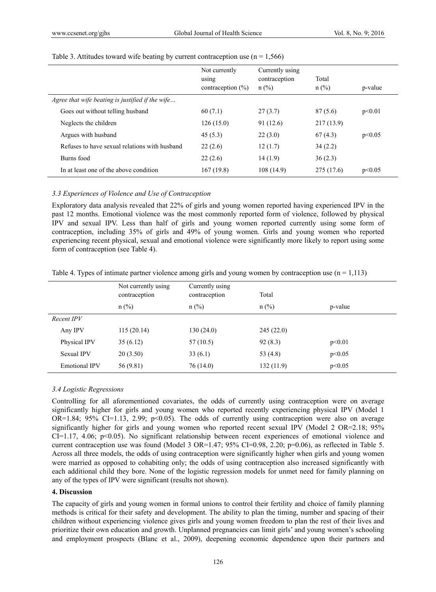|                                                  | Not currently<br>using<br>contraception $(\% )$ | Currently using<br>contraception<br>$n$ (%) | Total<br>$n$ (%) | p-value |
|--------------------------------------------------|-------------------------------------------------|---------------------------------------------|------------------|---------|
| Agree that wife beating is justified if the wife |                                                 |                                             |                  |         |
| Goes out without telling husband                 | 60(7.1)                                         | 27(3.7)                                     | 87 (5.6)         | p<0.01  |
| Neglects the children                            | 126(15.0)                                       | 91 (12.6)                                   | 217(13.9)        |         |
| Argues with husband                              | 45(5.3)                                         | 22(3.0)                                     | 67(4.3)          | p<0.05  |
| Refuses to have sexual relations with husband    | 22(2.6)                                         | 12(1.7)                                     | 34(2.2)          |         |
| Burns food                                       | 22(2.6)                                         | 14(1.9)                                     | 36(2.3)          |         |
| In at least one of the above condition           | 167(19.8)                                       | 108 (14.9)                                  | 275 (17.6)       | p<0.05  |

#### Table 3. Attitudes toward wife beating by current contraception use  $(n = 1,566)$

#### *3.3 Experiences of Violence and Use of Contraception*

Exploratory data analysis revealed that 22% of girls and young women reported having experienced IPV in the past 12 months. Emotional violence was the most commonly reported form of violence, followed by physical IPV and sexual IPV. Less than half of girls and young women reported currently using some form of contraception, including 35% of girls and 49% of young women. Girls and young women who reported experiencing recent physical, sexual and emotional violence were significantly more likely to report using some form of contraception (see Table 4).

|  |  | Table 4. Types of intimate partner violence among girls and young women by contraception use $(n = 1, 113)$ |  |  |  |
|--|--|-------------------------------------------------------------------------------------------------------------|--|--|--|
|  |  |                                                                                                             |  |  |  |

|                      | Not currently using<br>contraception | Currently using<br>contraception | Total     |         |
|----------------------|--------------------------------------|----------------------------------|-----------|---------|
|                      | $n$ (%)                              | $n$ (%)                          | $n$ (%)   | p-value |
| Recent IPV           |                                      |                                  |           |         |
| Any IPV              | 115(20.14)                           | 130(24.0)                        | 245(22.0) |         |
| Physical IPV         | 35(6.12)                             | 57(10.5)                         | 92(8.3)   | p<0.01  |
| Sexual IPV           | 20(3.50)                             | 33(6.1)                          | 53 (4.8)  | p<0.05  |
| <b>Emotional IPV</b> | 56 (9.81)                            | 76 (14.0)                        | 132(11.9) | p<0.05  |

#### *3.4 Logistic Regressions*

Controlling for all aforementioned covariates, the odds of currently using contraception were on average significantly higher for girls and young women who reported recently experiencing physical IPV (Model 1 OR=1.84; 95% CI=1.13, 2.99;  $p<0.05$ ). The odds of currently using contraception were also on average significantly higher for girls and young women who reported recent sexual IPV (Model 2 OR=2.18; 95%  $CI=1.17, 4.06; p<0.05)$ . No significant relationship between recent experiences of emotional violence and current contraception use was found (Model 3 OR=1.47; 95% CI=0.98, 2.20; p=0.06), as reflected in Table 5. Across all three models, the odds of using contraception were significantly higher when girls and young women were married as opposed to cohabiting only; the odds of using contraception also increased significantly with each additional child they bore. None of the logistic regression models for unmet need for family planning on any of the types of IPV were significant (results not shown).

#### **4. Discussion**

The capacity of girls and young women in formal unions to control their fertility and choice of family planning methods is critical for their safety and development. The ability to plan the timing, number and spacing of their children without experiencing violence gives girls and young women freedom to plan the rest of their lives and prioritize their own education and growth. Unplanned pregnancies can limit girls' and young women's schooling and employment prospects (Blanc et al., 2009), deepening economic dependence upon their partners and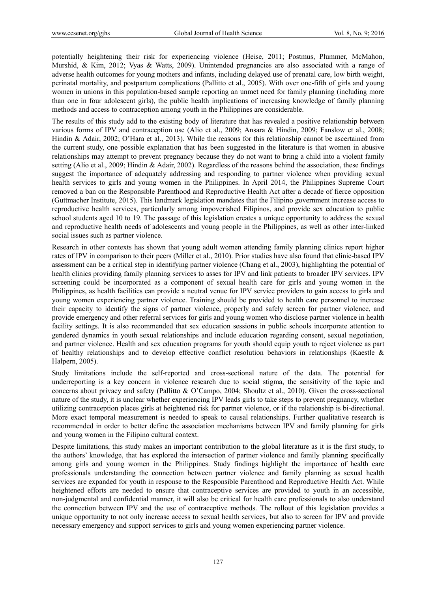potentially heightening their risk for experiencing violence (Heise, 2011; Postmus, Plummer, McMahon, Murshid, & Kim, 2012; Vyas & Watts, 2009). Unintended pregnancies are also associated with a range of adverse health outcomes for young mothers and infants, including delayed use of prenatal care, low birth weight, perinatal mortality, and postpartum complications (Pallitto et al., 2005). With over one-fifth of girls and young women in unions in this population-based sample reporting an unmet need for family planning (including more than one in four adolescent girls), the public health implications of increasing knowledge of family planning methods and access to contraception among youth in the Philippines are considerable.

The results of this study add to the existing body of literature that has revealed a positive relationship between various forms of IPV and contraception use (Alio et al., 2009; Ansara & Hindin, 2009; Fanslow et al., 2008; Hindin & Adair, 2002; O'Hara et al., 2013). While the reasons for this relationship cannot be ascertained from the current study, one possible explanation that has been suggested in the literature is that women in abusive relationships may attempt to prevent pregnancy because they do not want to bring a child into a violent family setting (Alio et al., 2009; Hindin & Adair, 2002). Regardless of the reasons behind the association, these findings suggest the importance of adequately addressing and responding to partner violence when providing sexual health services to girls and young women in the Philippines. In April 2014, the Philippines Supreme Court removed a ban on the Responsible Parenthood and Reproductive Health Act after a decade of fierce opposition (Guttmacher Institute, 2015). This landmark legislation mandates that the Filipino government increase access to reproductive health services, particularly among impoverished Filipinos, and provide sex education to public school students aged 10 to 19. The passage of this legislation creates a unique opportunity to address the sexual and reproductive health needs of adolescents and young people in the Philippines, as well as other inter-linked social issues such as partner violence.

Research in other contexts has shown that young adult women attending family planning clinics report higher rates of IPV in comparison to their peers (Miller et al., 2010). Prior studies have also found that clinic-based IPV assessment can be a critical step in identifying partner violence (Chang et al., 2003), highlighting the potential of health clinics providing family planning services to asses for IPV and link patients to broader IPV services. IPV screening could be incorporated as a component of sexual health care for girls and young women in the Philippines, as health facilities can provide a neutral venue for IPV service providers to gain access to girls and young women experiencing partner violence. Training should be provided to health care personnel to increase their capacity to identify the signs of partner violence, properly and safely screen for partner violence, and provide emergency and other referral services for girls and young women who disclose partner violence in health facility settings. It is also recommended that sex education sessions in public schools incorporate attention to gendered dynamics in youth sexual relationships and include education regarding consent, sexual negotiation, and partner violence. Health and sex education programs for youth should equip youth to reject violence as part of healthy relationships and to develop effective conflict resolution behaviors in relationships (Kaestle  $\&$ Halpern, 2005).

Study limitations include the self-reported and cross-sectional nature of the data. The potential for underreporting is a key concern in violence research due to social stigma, the sensitivity of the topic and concerns about privacy and safety (Pallitto & O'Campo, 2004; Shoultz et al., 2010). Given the cross-sectional nature of the study, it is unclear whether experiencing IPV leads girls to take steps to prevent pregnancy, whether utilizing contraception places girls at heightened risk for partner violence, or if the relationship is bi-directional. More exact temporal measurement is needed to speak to causal relationships. Further qualitative research is recommended in order to better define the association mechanisms between IPV and family planning for girls and young women in the Filipino cultural context.

Despite limitations, this study makes an important contribution to the global literature as it is the first study, to the authors' knowledge, that has explored the intersection of partner violence and family planning specifically among girls and young women in the Philippines. Study findings highlight the importance of health care professionals understanding the connection between partner violence and family planning as sexual health services are expanded for youth in response to the Responsible Parenthood and Reproductive Health Act. While heightened efforts are needed to ensure that contraceptive services are provided to youth in an accessible, non-judgmental and confidential manner, it will also be critical for health care professionals to also understand the connection between IPV and the use of contraceptive methods. The rollout of this legislation provides a unique opportunity to not only increase access to sexual health services, but also to screen for IPV and provide necessary emergency and support services to girls and young women experiencing partner violence.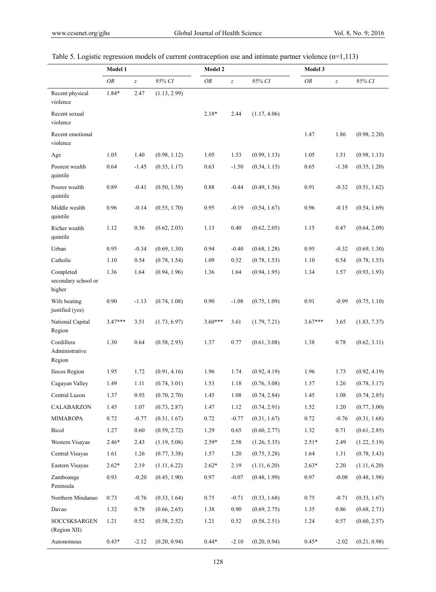|                                            | Model 1   |                  |              | <b>Model 2</b> |                  |              | Model 3   |                  |              |
|--------------------------------------------|-----------|------------------|--------------|----------------|------------------|--------------|-----------|------------------|--------------|
|                                            | OR        | $\boldsymbol{z}$ | 95% CI       | <b>OR</b>      | $\boldsymbol{z}$ | 95% CI       | <b>OR</b> | $\boldsymbol{z}$ | 95% CI       |
| Recent physical<br>violence                | 1.84*     | 2.47             | (1.13, 2.99) |                |                  |              |           |                  |              |
| Recent sexual<br>violence                  |           |                  |              | $2.18*$        | 2.44             | (1.17, 4.06) |           |                  |              |
| Recent emotional<br>violence               |           |                  |              |                |                  |              | 1.47      | 1.86             | (0.98, 2.20) |
| Age                                        | 1.05      | 1.40             | (0.98, 1.12) | 1.05           | 1.53             | (0.99, 1.13) | 1.05      | 1.51             | (0.98, 1.13) |
| Poorest wealth<br>quintile                 | 0.64      | $-1.45$          | (0.35, 1.17) | 0.63           | $-1.50$          | (0.34, 1.15) | 0.65      | $-1.38$          | (0.35, 1.20) |
| Poorer wealth<br>quintile                  | 0.89      | $-0.41$          | (0.50, 1.58) | 0.88           | $-0.44$          | (0.49, 1.56) | 0.91      | $-0.32$          | (0.51, 1.62) |
| Middle wealth<br>quintile                  | 0.96      | $-0.14$          | (0.55, 1.70) | 0.95           | $-0.19$          | (0.54, 1.67) | 0.96      | $-0.15$          | (0.54, 1.69) |
| Richer wealth<br>quintile                  | 1.12      | 0.36             | (0.62, 2.03) | 1.13           | 0.40             | (0.62, 2.05) | 1.15      | 0.47             | (0.64, 2.09) |
| Urban                                      | 0.95      | $-0.34$          | (0.69, 1.30) | 0.94           | $-0.40$          | (0.68, 1.28) | 0.95      | $-0.32$          | (0.69, 1.30) |
| Catholic                                   | 1.10      | 0.54             | (0.78, 1.54) | 1.09           | 0.52             | (0.78, 1.53) | 1.10      | 0.54             | (0.78, 1.53) |
| Completed<br>secondary school or<br>higher | 1.36      | 1.64             | (0.94, 1.96) | 1.36           | 1.64             | (0.94, 1.95) | 1.34      | 1.57             | (0.93, 1.93) |
| Wife beating<br>justified (yes)            | 0.90      | $-1.13$          | (0.74, 1.08) | 0.90           | $-1.08$          | (0.75, 1.09) | 0.91      | $-0.99$          | (0.75, 1.10) |
| National Capital<br>Region                 | $3.47***$ | 3.51             | (1.73, 6.97) | $3.60***$      | 3.61             | (1.79, 7.21) | $3.67***$ | 3.65             | (1.83, 7.37) |
| Cordillera<br>Administrative<br>Region     | 1.30      | 0.64             | (0.58, 2.93) | 1.37           | 0.77             | (0.61, 3.08) | 1.38      | 0.78             | (0.62, 3.11) |
| Ilocos Region                              | 1.95      | 1.72             | (0.91, 4.16) | 1.96           | 1.74             | (0.92, 4.19) | 1.96      | 1.73             | (0.92, 4.19) |
| Cagayan Valley                             | 1.49      | 1.11             | (0.74, 3.01) | 1.53           | 1.18             | (0.76, 3.08) | 1.57      | 1.26             | (0.78, 3.17) |
| Central Luzon                              | 1.37      | 0.93             | (0.70, 2.70) | 1.45           | 1.08             | (0.74, 2.84) | 1.45      | 1.08             | (0.74, 2.85) |
| CALABARZON                                 | 1.45      | 1.07             | (0.73, 2.87) | 1.47           | 1.12             | (0.74, 2.91) | 1.52      | 1.20             | (0.77, 3.00) |
| <b>MIMAROPA</b>                            | 0.72      | $-0.77$          | (0.31, 1.67) | 0.72           | $-0.77$          | (0.31, 1.67) | 0.72      | $-0.76$          | (0.31, 1.68) |
| Bicol                                      | 1.27      | 0.60             | (0.59, 2.72) | 1.29           | 0.65             | (0.60, 2.77) | 1.32      | 0.71             | (0.61, 2.85) |
| Western Visayas                            | $2.46*$   | 2.43             | (1.19, 5.08) | 2.59*          | 2.58             | (1.26, 5.35) | $2.51*$   | 2.49             | (1.22, 5.19) |
| Central Visayas                            | 1.61      | 1.26             | (0.77, 3.38) | 1.57           | 1.20             | (0.75, 3.28) | 1.64      | 1.31             | (0.78, 3.43) |
| Eastern Visayas                            | $2.62*$   | 2.19             | (1.11, 6.22) | $2.62*$        | 2.19             | (1.11, 6.20) | $2.63*$   | 2.20             | (1.11, 6.20) |
| Zamboanga<br>Peninsula                     | 0.93      | $-0.20$          | (0.45, 1.90) | 0.97           | $-0.07$          | (0.48, 1.99) | 0.97      | $-0.08$          | (0.48, 1.98) |
| Northern Mindanao                          | 0.73      | $-0.76$          | (0.33, 1.64) | 0.75           | $-0.71$          | (0.33, 1.68) | 0.75      | $-0.71$          | (0.33, 1.67) |
| Davao                                      | 1.32      | 0.78             | (0.66, 2.65) | 1.38           | 0.90             | (0.69, 2.75) | 1.35      | 0.86             | (0.68, 2.71) |
| SOCCSKSARGEN<br>(Region XII)               | 1.21      | 0.52             | (0.58, 2.52) | 1.21           | 0.52             | (0.58, 2.51) | 1.24      | 0.57             | (0.60, 2.57) |
| Autonomous                                 | $0.43*$   | $-2.12$          | (0.20, 0.94) | $0.44*$        | $-2.10$          | (0.20, 0.94) | $0.45*$   | $-2.02$          | (0.21, 0.98) |

# Table 5. Logistic regression models of current contraception use and intimate partner violence (n=1,113)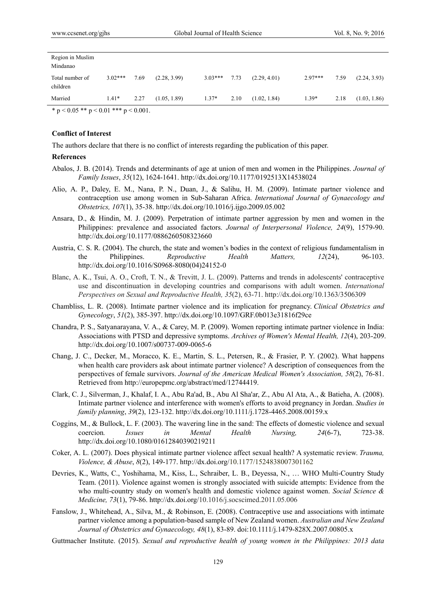| Region in Muslim<br>Mindanao                       |                                                         |             |              |           |      |              |           |      |              |
|----------------------------------------------------|---------------------------------------------------------|-------------|--------------|-----------|------|--------------|-----------|------|--------------|
| Total number of<br>children                        | $3.02***$                                               | 7.69        | (2.28, 3.99) | $3.03***$ | 7.73 | (2.29, 4.01) | $2.97***$ | 7.59 | (2.24, 3.93) |
| Married                                            | $1.41*$                                                 | 2.27        | (1.05, 1.89) | $1.37*$   | 2.10 | (1.02, 1.84) | $1.39*$   | 2.18 | (1.03, 1.86) |
| $\mathbf{a}$ . A A $\mathbf{c}$ shake $\mathbf{a}$ | $\sim$ $\sim$ $\sim$ $\sim$ $\sim$ $\sim$ $\sim$ $\sim$ | $\sim$ 0.01 |              |           |      |              |           |      |              |

 $* p < 0.05 ** p < 0.01*** p < 0.001$ .

#### **Conflict of Interest**

The authors declare that there is no conflict of interests regarding the publication of this paper.

#### **References**

- Abalos, J. B. (2014). Trends and determinants of age at union of men and women in the Philippines. *Journal of Family Issues*, *35*(12), 1624-1641. http://dx.doi.org/10.1177/0192513X14538024
- Alio, A. P., Daley, E. M., Nana, P. N., Duan, J., & Salihu, H. M. (2009). Intimate partner violence and contraception use among women in Sub-Saharan Africa. *International Journal of Gynaecology and Obstetrics, 107*(1), 35-38. http://dx.doi.org/10.1016/j.ijgo.2009.05.002
- Ansara, D., & Hindin, M. J. (2009). Perpetration of intimate partner aggression by men and women in the Philippines: prevalence and associated factors. *Journal of Interpersonal Violence, 24*(9), 1579-90. http://dx.doi.org/10.1177/0886260508323660
- Austria, C. S. R. (2004). The church, the state and women's bodies in the context of religious fundamentalism in the Philippines. *Reproductive Health Matters, 12*(24), 96-103. http://dx.doi.org/10.1016/S0968-8080(04)24152-0
- Blanc, A. K., Tsui, A. O., Croft, T. N., & Trevitt, J. L. (2009). Patterns and trends in adolescents' contraceptive use and discontinuation in developing countries and comparisons with adult women. *International Perspectives on Sexual and Reproductive Health, 35*(2), 63-71. http://dx.doi.org/10.1363/3506309
- Chambliss, L. R. (2008). Intimate partner violence and its implication for pregnancy. *Clinical Obstetrics and Gynecology*, *51*(2), 385-397. http://dx.doi.org/10.1097/GRF.0b013e31816f29ce
- Chandra, P. S., Satyanarayana, V. A., & Carey, M. P. (2009). Women reporting intimate partner violence in India: Associations with PTSD and depressive symptoms. *Archives of Women's Mental Health, 12*(4), 203-209. http://dx.doi.org/10.1007/s00737-009-0065-6
- Chang, J. C., Decker, M., Moracco, K. E., Martin, S. L., Petersen, R., & Frasier, P. Y. (2002). What happens when health care providers ask about intimate partner violence? A description of consequences from the perspectives of female survivors. *Journal of the American Medical Women's Association, 58*(2), 76-81. Retrieved from http://europepmc.org/abstract/med/12744419.
- Clark, C. J., Silverman, J., Khalaf, I. A., Abu Ra'ad, B., Abu Al Sha'ar, Z., Abu Al Ata, A., & Batieha, A. (2008). Intimate partner violence and interference with women's efforts to avoid pregnancy in Jordan. *Studies in family planning*, *39*(2), 123-132. http://dx.doi.org/10.1111/j.1728-4465.2008.00159.x
- Coggins, M., & Bullock, L. F. (2003). The wavering line in the sand: The effects of domestic violence and sexual coercion*. Issues in Mental Health Nursing, 24*(6-7), 723-38. http://dx.doi.org/10.1080/01612840390219211
- Coker, A. L. (2007). Does physical intimate partner violence affect sexual health? A systematic review. *Trauma, Violence, & Abuse*, *8*(2), 149-177. http://dx.doi.org/10.1177/1524838007301162
- Devries, K., Watts, C., Yoshihama, M., Kiss, L., Schraiber, L. B., Deyessa, N., … WHO Multi-Country Study Team. (2011). Violence against women is strongly associated with suicide attempts: Evidence from the who multi-country study on women's health and domestic violence against women. *Social Science & Medicine, 73*(1), 79-86. http://dx.doi.org/10.1016/j.socscimed.2011.05.006
- Fanslow, J., Whitehead, A., Silva, M., & Robinson, E. (2008). Contraceptive use and associations with intimate partner violence among a population-based sample of New Zealand women. *Australian and New Zealand Journal of Obstetrics and Gynaecology, 48*(1), 83-89. doi:10.1111/j.1479-828X.2007.00805.x
- Guttmacher Institute. (2015). *Sexual and reproductive health of young women in the Philippines: 2013 data*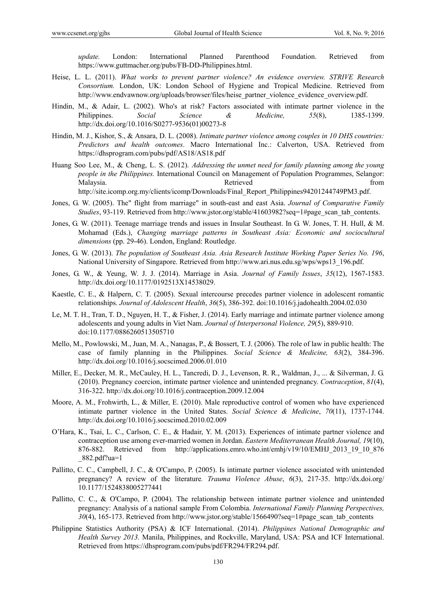*update.* London: International Planned Parenthood Foundation. Retrieved from https://www.guttmacher.org/pubs/FB-DD-Philippines.html.

- Heise, L. L. (2011). *What works to prevent partner violence? An evidence overview. STRIVE Research Consortium.* London, UK: London School of Hygiene and Tropical Medicine. Retrieved from http://www.endvawnow.org/uploads/browser/files/heise\_partner\_violence\_evidence\_overview.pdf.
- Hindin, M., & Adair, L. (2002). Who's at risk? Factors associated with intimate partner violence in the Philippines. *Social Science & Medicine, 55*(8), 1385-1399. http://dx.doi.org/10.1016/S0277-9536(01)00273-8
- Hindin, M. J., Kishor, S., & Ansara, D. L. (2008). *Intimate partner violence among couples in 10 DHS countries: Predictors and health outcomes*. Macro International Inc.: Calverton, USA. Retrieved from https://dhsprogram.com/pubs/pdf/AS18/AS18.pdf
- Huang Soo Lee, M., & Cheng, L. S. (2012). *Addressing the unmet need for family planning among the young people in the Philippines.* International Council on Management of Population Programmes, Selangor: Malaysia. The contract of the contract of the Retrieved from the from the from the from the from the from the  $\mathbb{R}$ http://site.icomp.org.my/clients/icomp/Downloads/Final\_Report\_Philippines94201244749PM3.pdf.
- Jones, G. W. (2005). The" flight from marriage" in south-east and east Asia. *Journal of Comparative Family Studies*, 93-119. Retrieved from http://www.jstor.org/stable/41603982?seq=1#page\_scan\_tab\_contents.
- Jones, G. W. (2011). Teenage marriage trends and issues in Insular Southeast. In G. W. Jones, T. H. Hull, & M. Mohamad (Eds.), *Changing marriage patterns in Southeast Asia: Economic and sociocultural dimensions* (pp. 29-46). London, England: Routledge.
- Jones, G. W. (2013). *The population of Southeast Asia. Asia Research Institute Working Paper Series No. 196*, National University of Singapore. Retrieved from http://www.ari.nus.edu.sg/wps/wps13\_196.pdf.
- Jones, G. W., & Yeung, W. J. J. (2014). Marriage in Asia. *Journal of Family Issues*, *35*(12), 1567-1583. http://dx.doi.org/10.1177/0192513X14538029.
- Kaestle, C. E., & Halpern, C. T. (2005). Sexual intercourse precedes partner violence in adolescent romantic relationships. *Journal of Adolescent Health*, *36*(5), 386-392. doi:10.1016/j.jadohealth.2004.02.030
- Le, M. T. H., Tran, T. D., Nguyen, H. T., & Fisher, J. (2014). Early marriage and intimate partner violence among adolescents and young adults in Viet Nam. *Journal of Interpersonal Violence, 29*(5), 889-910. doi:10.1177/0886260513505710
- Mello, M., Powlowski, M., Juan, M. A., Nanagas, P., & Bossert, T. J. (2006). The role of law in public health: The case of family planning in the Philippines. *Social Science & Medicine, 63*(2), 384-396. http://dx.doi.org/10.1016/j.socscimed.2006.01.010
- Miller, E., Decker, M. R., McCauley, H. L., Tancredi, D. J., Levenson, R. R., Waldman, J., ... & Silverman, J. G. (2010). Pregnancy coercion, intimate partner violence and unintended pregnancy. *Contraception*, *81*(4), 316-322. http://dx.doi.org/10.1016/j.contraception.2009.12.004
- Moore, A. M., Frohwirth, L., & Miller, E. (2010). Male reproductive control of women who have experienced intimate partner violence in the United States. *Social Science & Medicine*, *70*(11), 1737-1744. http://dx.doi.org/10.1016/j.socscimed.2010.02.009
- O'Hara, K., Tsai, L. C., Carlson, C. E., & Hadair, Y. M. (2013). Experiences of intimate partner violence and contraception use among ever-married women in Jordan. *Eastern Mediterranean Health Journal, 19*(10), 876-882. Retrieved from http://applications.emro.who.int/emhj/v19/10/EMHJ\_2013\_19\_10\_876  $_882.pdf?ua=1$
- Pallitto, C. C., Campbell, J. C., & O'Campo, P. (2005). Is intimate partner violence associated with unintended pregnancy? A review of the literature*. Trauma Violence Abuse*, *6*(3), 217-35. http://dx.doi.org/ 10.1177/1524838005277441
- Pallitto, C. C., & O'Campo, P. (2004). The relationship between intimate partner violence and unintended pregnancy: Analysis of a national sample From Colombia. *International Family Planning Perspectives, 30*(4), 165-173. Retrieved from http://www.jstor.org/stable/1566490?seq=1#page\_scan\_tab\_contents
- Philippine Statistics Authority (PSA) & ICF International. (2014). *Philippines National Demographic and Health Survey 2013.* Manila, Philippines, and Rockville, Maryland, USA: PSA and ICF International. Retrieved from https://dhsprogram.com/pubs/pdf/FR294/FR294.pdf.